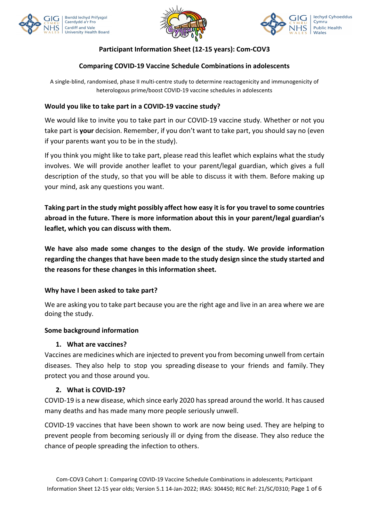





# Participant Information Sheet (12-15 years): Com-COV3

## Comparing COVID-19 Vaccine Schedule Combinations in adolescents

A single-blind, randomised, phase II multi-centre study to determine reactogenicity and immunogenicity of heterologous prime/boost COVID-19 vaccine schedules in adolescents

## Would you like to take part in a COVID-19 vaccine study?

We would like to invite you to take part in our COVID-19 vaccine study. Whether or not you take part is your decision. Remember, if you don't want to take part, you should say no (even if your parents want you to be in the study).

If you think you might like to take part, please read this leaflet which explains what the study involves. We will provide another leaflet to your parent/legal guardian, which gives a full description of the study, so that you will be able to discuss it with them. Before making up your mind, ask any questions you want.

Taking part in the study might possibly affect how easy it is for you travel to some countries abroad in the future. There is more information about this in your parent/legal guardian's leaflet, which you can discuss with them.

We have also made some changes to the design of the study. We provide information regarding the changes that have been made to the study design since the study started and the reasons for these changes in this information sheet.

## Why have I been asked to take part?

We are asking you to take part because you are the right age and live in an area where we are doing the study.

### Some background information

### 1. What are vaccines?

Vaccines are medicines which are injected to prevent you from becoming unwell from certain diseases. They also help to stop you spreading disease to your friends and family. They protect you and those around you.

### 2. What is COVID-19?

COVID-19 is a new disease, which since early 2020 has spread around the world. It has caused many deaths and has made many more people seriously unwell.

COVID-19 vaccines that have been shown to work are now being used. They are helping to prevent people from becoming seriously ill or dying from the disease. They also reduce the chance of people spreading the infection to others.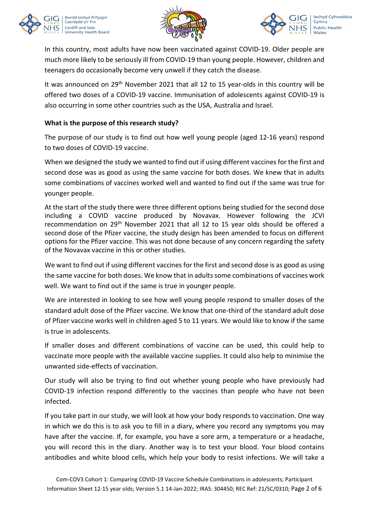





In this country, most adults have now been vaccinated against COVID-19. Older people are much more likely to be seriously ill from COVID-19 than young people. However, children and teenagers do occasionally become very unwell if they catch the disease.

It was announced on 29<sup>th</sup> November 2021 that all 12 to 15 year-olds in this country will be offered two doses of a COVID-19 vaccine. Immunisation of adolescents against COVID-19 is also occurring in some other countries such as the USA, Australia and Israel.

## What is the purpose of this research study?

The purpose of our study is to find out how well young people (aged 12-16 years) respond to two doses of COVID-19 vaccine.

When we designed the study we wanted to find out if using different vaccines for the first and second dose was as good as using the same vaccine for both doses. We knew that in adults some combinations of vaccines worked well and wanted to find out if the same was true for younger people.

At the start of the study there were three different options being studied for the second dose including a COVID vaccine produced by Novavax. However following the JCVI recommendation on 29th November 2021 that all 12 to 15 year olds should be offered a second dose of the Pfizer vaccine, the study design has been amended to focus on different options for the Pfizer vaccine. This was not done because of any concern regarding the safety of the Novavax vaccine in this or other studies.

We want to find out if using different vaccines for the first and second dose is as good as using the same vaccine for both doses. We know that in adults some combinations of vaccines work well. We want to find out if the same is true in younger people.

We are interested in looking to see how well young people respond to smaller doses of the standard adult dose of the Pfizer vaccine. We know that one-third of the standard adult dose of Pfizer vaccine works well in children aged 5 to 11 years. We would like to know if the same is true in adolescents.

If smaller doses and different combinations of vaccine can be used, this could help to vaccinate more people with the available vaccine supplies. It could also help to minimise the unwanted side-effects of vaccination.

Our study will also be trying to find out whether young people who have previously had COVID-19 infection respond differently to the vaccines than people who have not been infected.

If you take part in our study, we will look at how your body responds to vaccination. One way in which we do this is to ask you to fill in a diary, where you record any symptoms you may have after the vaccine. If, for example, you have a sore arm, a temperature or a headache, you will record this in the diary. Another way is to test your blood. Your blood contains antibodies and white blood cells, which help your body to resist infections. We will take a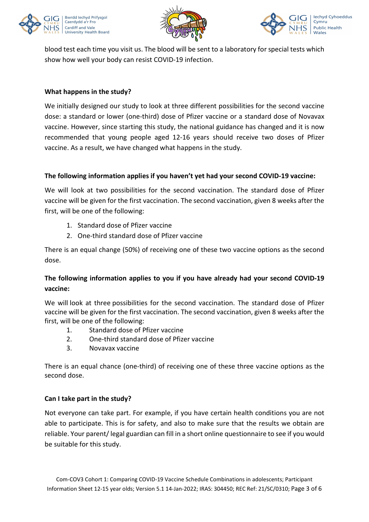





blood test each time you visit us. The blood will be sent to a laboratory for special tests which show how well your body can resist COVID-19 infection.

## What happens in the study?

We initially designed our study to look at three different possibilities for the second vaccine dose: a standard or lower (one-third) dose of Pfizer vaccine or a standard dose of Novavax vaccine. However, since starting this study, the national guidance has changed and it is now recommended that young people aged 12-16 years should receive two doses of Pfizer vaccine. As a result, we have changed what happens in the study.

## The following information applies if you haven't yet had your second COVID-19 vaccine:

We will look at two possibilities for the second vaccination. The standard dose of Pfizer vaccine will be given for the first vaccination. The second vaccination, given 8 weeks after the first, will be one of the following:

- 1. Standard dose of Pfizer vaccine
- 2. One-third standard dose of Pfizer vaccine

There is an equal change (50%) of receiving one of these two vaccine options as the second dose.

# The following information applies to you if you have already had your second COVID-19 vaccine:

We will look at three possibilities for the second vaccination. The standard dose of Pfizer vaccine will be given for the first vaccination. The second vaccination, given 8 weeks after the first, will be one of the following:

- 1. Standard dose of Pfizer vaccine
- 2. One-third standard dose of Pfizer vaccine
- 3. Novavax vaccine

There is an equal chance (one-third) of receiving one of these three vaccine options as the second dose.

### Can I take part in the study?

Not everyone can take part. For example, if you have certain health conditions you are not able to participate. This is for safety, and also to make sure that the results we obtain are reliable. Your parent/ legal guardian can fill in a short online questionnaire to see if you would be suitable for this study.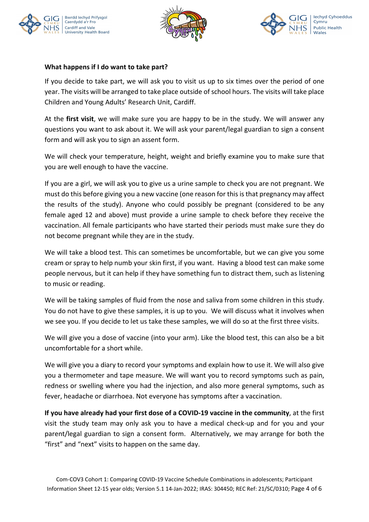





## What happens if I do want to take part?

If you decide to take part, we will ask you to visit us up to six times over the period of one year. The visits will be arranged to take place outside of school hours. The visits will take place Children and Young Adults' Research Unit, Cardiff.

At the first visit, we will make sure you are happy to be in the study. We will answer any questions you want to ask about it. We will ask your parent/legal guardian to sign a consent form and will ask you to sign an assent form.

We will check your temperature, height, weight and briefly examine you to make sure that you are well enough to have the vaccine.

If you are a girl, we will ask you to give us a urine sample to check you are not pregnant. We must do this before giving you a new vaccine (one reason for this is that pregnancy may affect the results of the study). Anyone who could possibly be pregnant (considered to be any female aged 12 and above) must provide a urine sample to check before they receive the vaccination. All female participants who have started their periods must make sure they do not become pregnant while they are in the study.

We will take a blood test. This can sometimes be uncomfortable, but we can give you some cream or spray to help numb your skin first, if you want. Having a blood test can make some people nervous, but it can help if they have something fun to distract them, such as listening to music or reading.

We will be taking samples of fluid from the nose and saliva from some children in this study. You do not have to give these samples, it is up to you. We will discuss what it involves when we see you. If you decide to let us take these samples, we will do so at the first three visits.

We will give you a dose of vaccine (into your arm). Like the blood test, this can also be a bit uncomfortable for a short while.

We will give you a diary to record your symptoms and explain how to use it. We will also give you a thermometer and tape measure. We will want you to record symptoms such as pain, redness or swelling where you had the injection, and also more general symptoms, such as fever, headache or diarrhoea. Not everyone has symptoms after a vaccination.

If you have already had your first dose of a COVID-19 vaccine in the community, at the first visit the study team may only ask you to have a medical check-up and for you and your parent/legal guardian to sign a consent form. Alternatively, we may arrange for both the "first" and "next" visits to happen on the same day.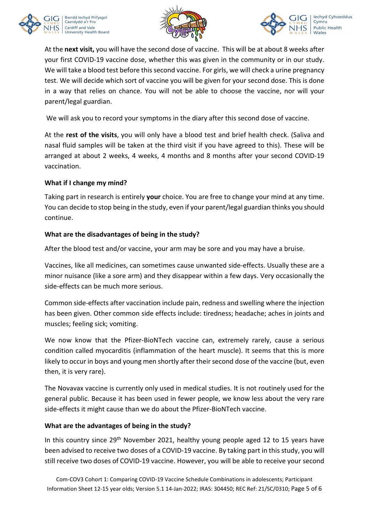





At the next visit, you will have the second dose of vaccine. This will be at about 8 weeks after your first COVID-19 vaccine dose, whether this was given in the community or in our study. We will take a blood test before this second vaccine. For girls, we will check a urine pregnancy test. We will decide which sort of vaccine you will be given for your second dose. This is done in a way that relies on chance. You will not be able to choose the vaccine, nor will your parent/legal guardian.

We will ask you to record your symptoms in the diary after this second dose of vaccine.

At the rest of the visits, you will only have a blood test and brief health check. (Saliva and nasal fluid samples will be taken at the third visit if you have agreed to this). These will be arranged at about 2 weeks, 4 weeks, 4 months and 8 months after your second COVID-19 vaccination.

### What if I change my mind?

Taking part in research is entirely your choice. You are free to change your mind at any time. You can decide to stop being in the study, even if your parent/legal guardian thinks you should continue.

## What are the disadvantages of being in the study?

After the blood test and/or vaccine, your arm may be sore and you may have a bruise.

Vaccines, like all medicines, can sometimes cause unwanted side-effects. Usually these are a minor nuisance (like a sore arm) and they disappear within a few days. Very occasionally the side-effects can be much more serious.

Common side-effects after vaccination include pain, redness and swelling where the injection has been given. Other common side effects include: tiredness; headache; aches in joints and muscles; feeling sick; vomiting.

We now know that the Pfizer-BioNTech vaccine can, extremely rarely, cause a serious condition called myocarditis (inflammation of the heart muscle). It seems that this is more likely to occur in boys and young men shortly after their second dose of the vaccine (but, even then, it is very rare).

The Novavax vaccine is currently only used in medical studies. It is not routinely used for the general public. Because it has been used in fewer people, we know less about the very rare side-effects it might cause than we do about the Pfizer-BioNTech vaccine.

## What are the advantages of being in the study?

In this country since 29<sup>th</sup> November 2021, healthy young people aged 12 to 15 years have been advised to receive two doses of a COVID-19 vaccine. By taking part in this study, you will still receive two doses of COVID-19 vaccine. However, you will be able to receive your second